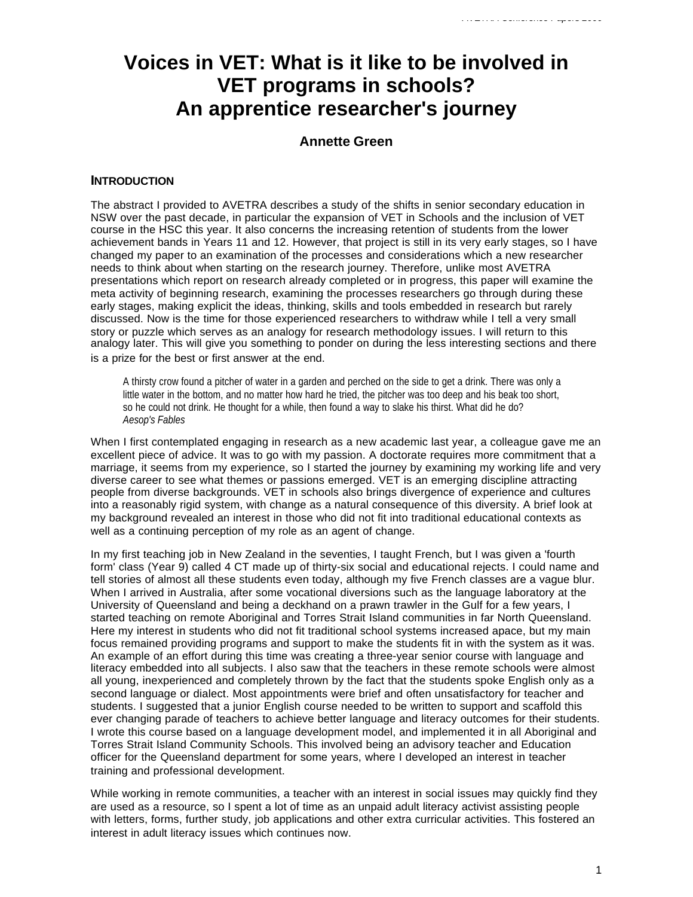# **Voices in VET: What is it like to be involved in VET programs in schools? An apprentice researcher's journey**

## **Annette Green**

### **INTRODUCTION**

The abstract I provided to AVETRA describes a study of the shifts in senior secondary education in NSW over the past decade, in particular the expansion of VET in Schools and the inclusion of VET course in the HSC this year. It also concerns the increasing retention of students from the lower achievement bands in Years 11 and 12. However, that project is still in its very early stages, so I have changed my paper to an examination of the processes and considerations which a new researcher needs to think about when starting on the research journey. Therefore, unlike most AVETRA presentations which report on research already completed or in progress, this paper will examine the meta activity of beginning research, examining the processes researchers go through during these early stages, making explicit the ideas, thinking, skills and tools embedded in research but rarely discussed. Now is the time for those experienced researchers to withdraw while I tell a very small story or puzzle which serves as an analogy for research methodology issues. I will return to this analogy later. This will give you something to ponder on during the less interesting sections and there is a prize for the best or first answer at the end.

A thirsty crow found a pitcher of water in a garden and perched on the side to get a drink. There was only a little water in the bottom, and no matter how hard he tried, the pitcher was too deep and his beak too short, so he could not drink. He thought for a while, then found a way to slake his thirst. What did he do? *Aesop's Fables*

When I first contemplated engaging in research as a new academic last year, a colleague gave me an excellent piece of advice. It was to go with my passion. A doctorate requires more commitment that a marriage, it seems from my experience, so I started the journey by examining my working life and very diverse career to see what themes or passions emerged. VET is an emerging discipline attracting people from diverse backgrounds. VET in schools also brings divergence of experience and cultures into a reasonably rigid system, with change as a natural consequence of this diversity. A brief look at my background revealed an interest in those who did not fit into traditional educational contexts as well as a continuing perception of my role as an agent of change.

In my first teaching job in New Zealand in the seventies, I taught French, but I was given a 'fourth form' class (Year 9) called 4 CT made up of thirty-six social and educational rejects. I could name and tell stories of almost all these students even today, although my five French classes are a vague blur. When I arrived in Australia, after some vocational diversions such as the language laboratory at the University of Queensland and being a deckhand on a prawn trawler in the Gulf for a few years, I started teaching on remote Aboriginal and Torres Strait Island communities in far North Queensland. Here my interest in students who did not fit traditional school systems increased apace, but my main focus remained providing programs and support to make the students fit in with the system as it was. An example of an effort during this time was creating a three-year senior course with language and literacy embedded into all subjects. I also saw that the teachers in these remote schools were almost all young, inexperienced and completely thrown by the fact that the students spoke English only as a second language or dialect. Most appointments were brief and often unsatisfactory for teacher and students. I suggested that a junior English course needed to be written to support and scaffold this ever changing parade of teachers to achieve better language and literacy outcomes for their students. I wrote this course based on a language development model, and implemented it in all Aboriginal and Torres Strait Island Community Schools. This involved being an advisory teacher and Education officer for the Queensland department for some years, where I developed an interest in teacher training and professional development.

While working in remote communities, a teacher with an interest in social issues may quickly find they are used as a resource, so I spent a lot of time as an unpaid adult literacy activist assisting people with letters, forms, further study, job applications and other extra curricular activities. This fostered an interest in adult literacy issues which continues now.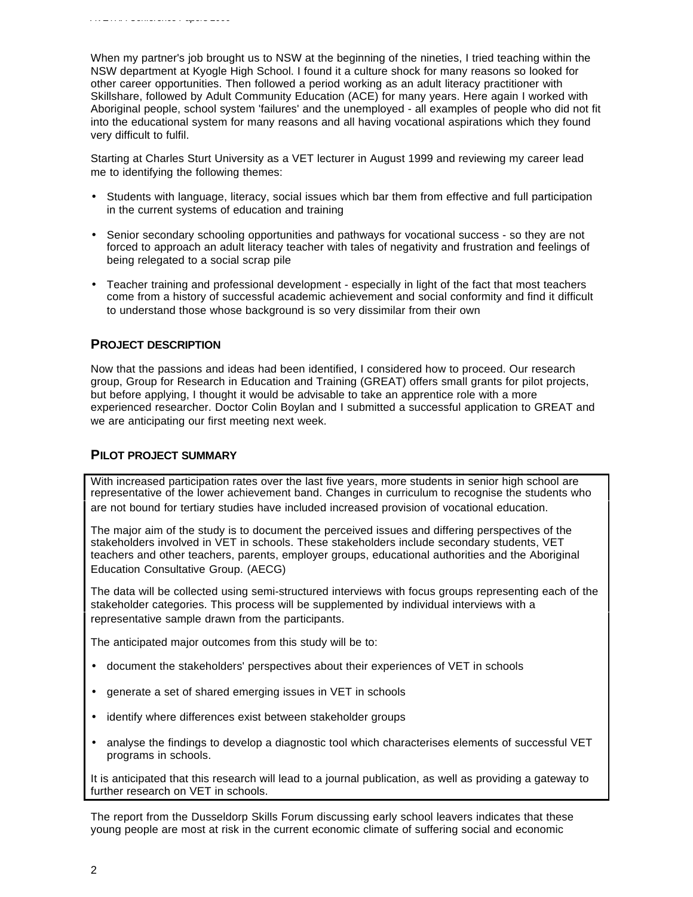When my partner's job brought us to NSW at the beginning of the nineties, I tried teaching within the NSW department at Kyogle High School. I found it a culture shock for many reasons so looked for other career opportunities. Then followed a period working as an adult literacy practitioner with Skillshare, followed by Adult Community Education (ACE) for many years. Here again I worked with Aboriginal people, school system 'failures' and the unemployed - all examples of people who did not fit into the educational system for many reasons and all having vocational aspirations which they found very difficult to fulfil.

Starting at Charles Sturt University as a VET lecturer in August 1999 and reviewing my career lead me to identifying the following themes:

- Students with language, literacy, social issues which bar them from effective and full participation in the current systems of education and training
- Senior secondary schooling opportunities and pathways for vocational success so they are not forced to approach an adult literacy teacher with tales of negativity and frustration and feelings of being relegated to a social scrap pile
- Teacher training and professional development especially in light of the fact that most teachers come from a history of successful academic achievement and social conformity and find it difficult to understand those whose background is so very dissimilar from their own

#### **PROJECT DESCRIPTION**

Now that the passions and ideas had been identified, I considered how to proceed. Our research group, Group for Research in Education and Training (GREAT) offers small grants for pilot projects, but before applying, I thought it would be advisable to take an apprentice role with a more experienced researcher. Doctor Colin Boylan and I submitted a successful application to GREAT and we are anticipating our first meeting next week.

#### **PILOT PROJECT SUMMARY**

With increased participation rates over the last five years, more students in senior high school are representative of the lower achievement band. Changes in curriculum to recognise the students who are not bound for tertiary studies have included increased provision of vocational education.

The major aim of the study is to document the perceived issues and differing perspectives of the stakeholders involved in VET in schools. These stakeholders include secondary students, VET teachers and other teachers, parents, employer groups, educational authorities and the Aboriginal Education Consultative Group. (AECG)

The data will be collected using semi-structured interviews with focus groups representing each of the stakeholder categories. This process will be supplemented by individual interviews with a representative sample drawn from the participants.

The anticipated major outcomes from this study will be to:

- document the stakeholders' perspectives about their experiences of VET in schools
- generate a set of shared emerging issues in VET in schools
- identify where differences exist between stakeholder groups
- analyse the findings to develop a diagnostic tool which characterises elements of successful VET programs in schools.

It is anticipated that this research will lead to a journal publication, as well as providing a gateway to further research on VET in schools.

The report from the Dusseldorp Skills Forum discussing early school leavers indicates that these young people are most at risk in the current economic climate of suffering social and economic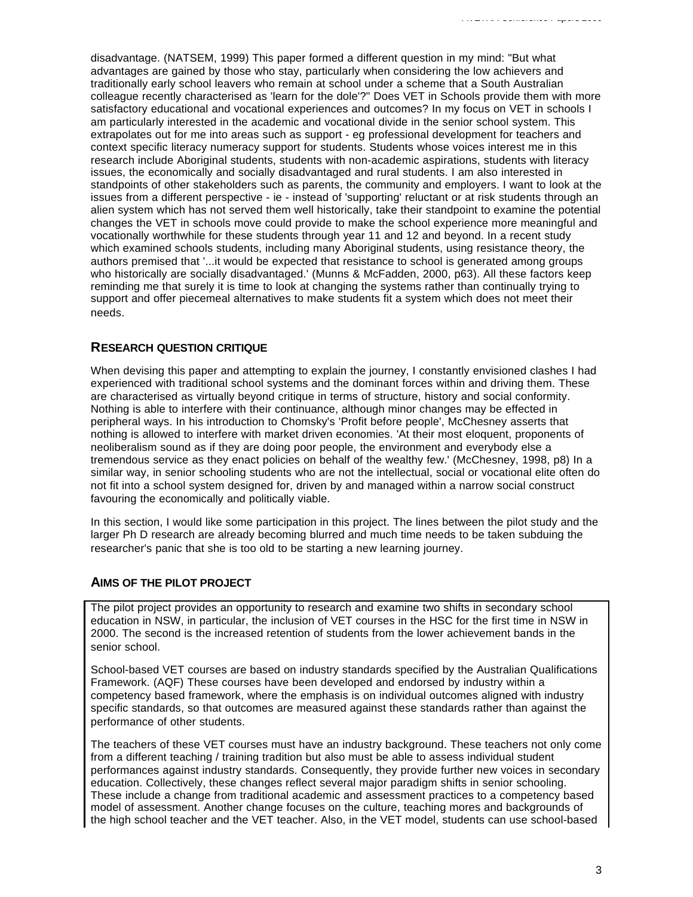disadvantage. (NATSEM, 1999) This paper formed a different question in my mind: "But what advantages are gained by those who stay, particularly when considering the low achievers and traditionally early school leavers who remain at school under a scheme that a South Australian colleague recently characterised as 'learn for the dole'?" Does VET in Schools provide them with more satisfactory educational and vocational experiences and outcomes? In my focus on VET in schools I am particularly interested in the academic and vocational divide in the senior school system. This extrapolates out for me into areas such as support - eg professional development for teachers and context specific literacy numeracy support for students. Students whose voices interest me in this research include Aboriginal students, students with non-academic aspirations, students with literacy issues, the economically and socially disadvantaged and rural students. I am also interested in standpoints of other stakeholders such as parents, the community and employers. I want to look at the issues from a different perspective - ie - instead of 'supporting' reluctant or at risk students through an alien system which has not served them well historically, take their standpoint to examine the potential changes the VET in schools move could provide to make the school experience more meaningful and vocationally worthwhile for these students through year 11 and 12 and beyond. In a recent study which examined schools students, including many Aboriginal students, using resistance theory, the authors premised that '...it would be expected that resistance to school is generated among groups who historically are socially disadvantaged.' (Munns & McFadden, 2000, p63). All these factors keep reminding me that surely it is time to look at changing the systems rather than continually trying to support and offer piecemeal alternatives to make students fit a system which does not meet their needs.

## **RESEARCH QUESTION CRITIQUE**

When devising this paper and attempting to explain the journey, I constantly envisioned clashes I had experienced with traditional school systems and the dominant forces within and driving them. These are characterised as virtually beyond critique in terms of structure, history and social conformity. Nothing is able to interfere with their continuance, although minor changes may be effected in peripheral ways. In his introduction to Chomsky's 'Profit before people', McChesney asserts that nothing is allowed to interfere with market driven economies. 'At their most eloquent, proponents of neoliberalism sound as if they are doing poor people, the environment and everybody else a tremendous service as they enact policies on behalf of the wealthy few.' (McChesney, 1998, p8) In a similar way, in senior schooling students who are not the intellectual, social or vocational elite often do not fit into a school system designed for, driven by and managed within a narrow social construct favouring the economically and politically viable.

In this section, I would like some participation in this project. The lines between the pilot study and the larger Ph D research are already becoming blurred and much time needs to be taken subduing the researcher's panic that she is too old to be starting a new learning journey.

## **AIMS OF THE PILOT PROJECT**

The pilot project provides an opportunity to research and examine two shifts in secondary school education in NSW, in particular, the inclusion of VET courses in the HSC for the first time in NSW in 2000. The second is the increased retention of students from the lower achievement bands in the senior school.

School-based VET courses are based on industry standards specified by the Australian Qualifications Framework. (AQF) These courses have been developed and endorsed by industry within a competency based framework, where the emphasis is on individual outcomes aligned with industry specific standards, so that outcomes are measured against these standards rather than against the performance of other students.

The teachers of these VET courses must have an industry background. These teachers not only come from a different teaching / training tradition but also must be able to assess individual student performances against industry standards. Consequently, they provide further new voices in secondary education. Collectively, these changes reflect several major paradigm shifts in senior schooling. These include a change from traditional academic and assessment practices to a competency based model of assessment. Another change focuses on the culture, teaching mores and backgrounds of the high school teacher and the VET teacher. Also, in the VET model, students can use school-based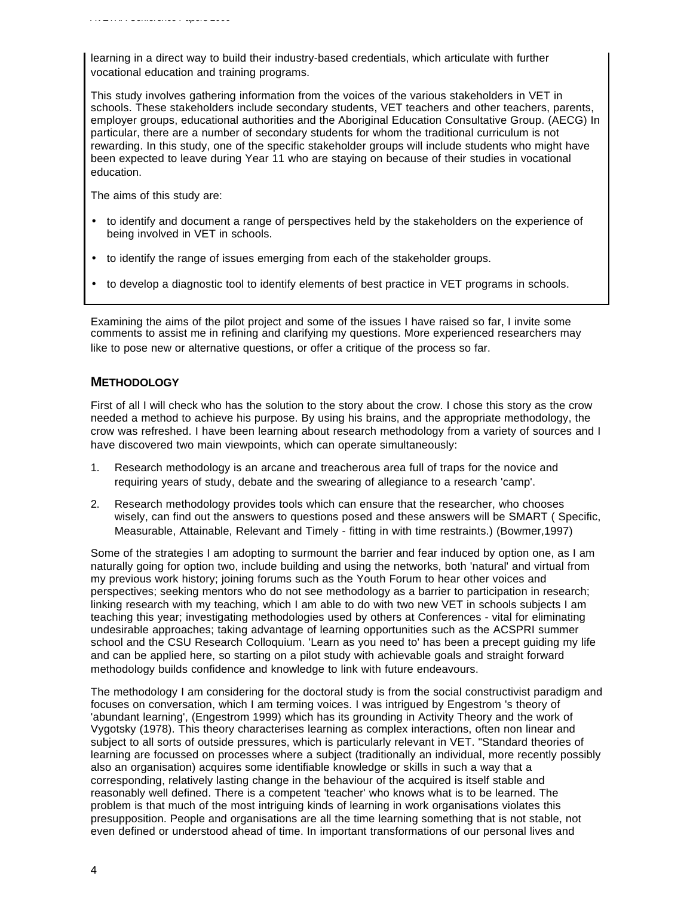learning in a direct way to build their industry-based credentials, which articulate with further vocational education and training programs.

This study involves gathering information from the voices of the various stakeholders in VET in schools. These stakeholders include secondary students, VET teachers and other teachers, parents, employer groups, educational authorities and the Aboriginal Education Consultative Group. (AECG) In particular, there are a number of secondary students for whom the traditional curriculum is not rewarding. In this study, one of the specific stakeholder groups will include students who might have been expected to leave during Year 11 who are staying on because of their studies in vocational education.

The aims of this study are:

- to identify and document a range of perspectives held by the stakeholders on the experience of being involved in VET in schools.
- to identify the range of issues emerging from each of the stakeholder groups.
- to develop a diagnostic tool to identify elements of best practice in VET programs in schools.

Examining the aims of the pilot project and some of the issues I have raised so far, I invite some comments to assist me in refining and clarifying my questions. More experienced researchers may like to pose new or alternative questions, or offer a critique of the process so far.

#### **METHODOLOGY**

First of all I will check who has the solution to the story about the crow. I chose this story as the crow needed a method to achieve his purpose. By using his brains, and the appropriate methodology, the crow was refreshed. I have been learning about research methodology from a variety of sources and I have discovered two main viewpoints, which can operate simultaneously:

- 1. Research methodology is an arcane and treacherous area full of traps for the novice and requiring years of study, debate and the swearing of allegiance to a research 'camp'.
- 2. Research methodology provides tools which can ensure that the researcher, who chooses wisely, can find out the answers to questions posed and these answers will be SMART ( Specific, Measurable, Attainable, Relevant and Timely - fitting in with time restraints.) (Bowmer,1997)

Some of the strategies I am adopting to surmount the barrier and fear induced by option one, as I am naturally going for option two, include building and using the networks, both 'natural' and virtual from my previous work history; joining forums such as the Youth Forum to hear other voices and perspectives; seeking mentors who do not see methodology as a barrier to participation in research; linking research with my teaching, which I am able to do with two new VET in schools subjects I am teaching this year; investigating methodologies used by others at Conferences - vital for eliminating undesirable approaches; taking advantage of learning opportunities such as the ACSPRI summer school and the CSU Research Colloquium. 'Learn as you need to' has been a precept guiding my life and can be applied here, so starting on a pilot study with achievable goals and straight forward methodology builds confidence and knowledge to link with future endeavours.

The methodology I am considering for the doctoral study is from the social constructivist paradigm and focuses on conversation, which I am terming voices. I was intrigued by Engestrom 's theory of 'abundant learning', (Engestrom 1999) which has its grounding in Activity Theory and the work of Vygotsky (1978). This theory characterises learning as complex interactions, often non linear and subject to all sorts of outside pressures, which is particularly relevant in VET. "Standard theories of learning are focussed on processes where a subject (traditionally an individual, more recently possibly also an organisation) acquires some identifiable knowledge or skills in such a way that a corresponding, relatively lasting change in the behaviour of the acquired is itself stable and reasonably well defined. There is a competent 'teacher' who knows what is to be learned. The problem is that much of the most intriguing kinds of learning in work organisations violates this presupposition. People and organisations are all the time learning something that is not stable, not even defined or understood ahead of time. In important transformations of our personal lives and